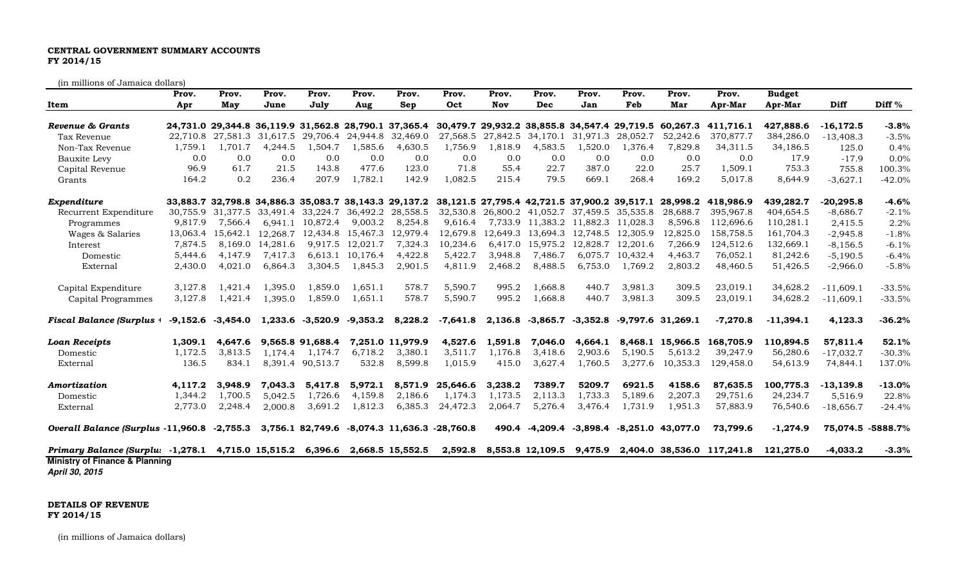## CENTRAL GOVERNMENT SUMMARY ACCOUNTS FY 2014/15

(in millions of Jamaica dollars)

| Prov.                                        | Prov.   |      | Prov.    | Prov.    | Prov.               | Prov.                                                                                                                 | <b>Budget</b>              |             |                   |
|----------------------------------------------|---------|------|----------|----------|---------------------|-----------------------------------------------------------------------------------------------------------------------|----------------------------|-------------|-------------------|
| Dec                                          | Nov     |      | Jan      | Feb      | Mar                 | Apr-Mar                                                                                                               | Apr-Mar                    | Diff        | Diff $%$          |
|                                              |         |      |          |          |                     | 24.731.0 29.344.8 36.119.9 31.562.8 28.790.1 37.365.4 30.479.7 29.932.2 38.855.8 34.547.4 29.719.5 60.267.3 411.716.1 | 427.888.6                  | $-16.172.5$ | $-3.8%$           |
| 27,842.5 34,170.1 31,971.3                   |         |      |          | 28,052.7 | 52,242.6            | 370,877.7                                                                                                             | 384,286.0                  | $-13,408.3$ | $-3.5%$           |
| 4,583.5                                      | 1,818.9 |      | 1,520.0  | 1,376.4  | 7,829.8             | 34,311.5                                                                                                              | 34,186.5                   | 125.0       | 0.4%              |
|                                              | 0.0     | 0.0  | 0.0      | 0.0      | 0.0                 | 0.0                                                                                                                   | 17.9                       | $-17.9$     | 0.0%              |
|                                              | 55.4    | 22.7 | 387.0    | 22.0     | 25.7                | 1,509.1                                                                                                               | 753.3                      | 755.8       | 100.3%            |
|                                              | 215.4   | 79.5 | 669.1    | 268.4    | 169.2               | 5,017.8                                                                                                               | 8,644.9                    | $-3,627.1$  | $-42.0%$          |
|                                              |         |      |          |          |                     | 33,883.7 32,798.8 34,886.3 35,083.7 38,143.3 29,137.2 38,121.5 27,795.4 42,721.5 37,900.2 39,517.1 28,998.2 418,986.9 | 439,282.7                  | $-20,295.8$ | $-4.6%$           |
| 32,530.8 26,800.2 41,052.7 37,459.5 35,535.8 |         |      |          |          | 28,688.7            | 395,967.8                                                                                                             | 404.654.5                  | $-8,686.7$  | $-2.1%$           |
| 7,733.9 11,383.2 11,882.3 11,028.3           |         |      |          |          | 8,596.8             | 112,696.6                                                                                                             | 110,281.1                  | 2,415.5     | 2.2%              |
| 12,649.3 13,694.3 12,748.5 12,305.9          |         |      |          |          | 12,825.0            | 158,758.5                                                                                                             | 161,704.3                  | $-2,945.8$  | $-1.8%$           |
| 6,417.0 15,975.2                             |         |      | 12,828.7 | 12,201.6 | 7,266.9             | 124,512.6                                                                                                             | 132,669.1                  | $-8,156.5$  | $-6.1%$           |
| 7,486.7                                      | 3,948.8 |      | 6,075.7  | 10,432.4 | 4,463.7             | 76,052.1                                                                                                              | 81,242.6                   | $-5,190.5$  | $-6.4%$           |
| 8,488.5                                      | 2,468.2 |      | 6,753.0  | 1,769.2  | 2,803.2             | 48,460.5                                                                                                              | 51,426.5                   | $-2,966.0$  | $-5.8%$           |
| 1,668.8                                      | 995.2   |      | 440.7    | 3,981.3  | 309.5               | 23,019.1                                                                                                              | 34,628.2                   | $-11,609.1$ | $-33.5%$          |
| 1,668.8                                      | 995.2   |      | 440.7    | 3,981.3  | 309.5               | 23,019.1                                                                                                              | 34,628.2                   | $-11,609.1$ | $-33.5%$          |
| 2,136.8 -3,865.7 -3,352.8                    |         |      |          |          | $-9,797.6$ 31,269.1 | $-7,270.8$                                                                                                            | $-11,394.1$                | 4,123.3     | $-36.2%$          |
| 7,046.0                                      | 1,591.8 |      | 4,664.1  |          |                     | 8,468.1 15,966.5 168,705.9                                                                                            | 110,894.5                  | 57,811.4    | 52.1%             |
| 3,418.6                                      | 1,176.8 |      | 2,903.6  | 5,190.5  | 5,613.2             | 39,247.9                                                                                                              | 56,280.6                   | $-17,032.7$ | $-30.3%$          |
| 3,627.4                                      | 415.0   |      | 1,760.5  | 3,277.6  | 10,353.3            | 129,458.0                                                                                                             | 54,613.9                   | 74,844.1    | 137.0%            |
| 7389.7                                       | 3,238.2 |      | 5209.7   | 6921.5   | 4158.6              | 87,635.5                                                                                                              | 100,775.3                  | $-13,139.8$ | $-13.0%$          |
| 2,113.3                                      | 1,173.5 |      | 1,733.3  | 5,189.6  | 2,207.3             | 29,751.6                                                                                                              | 24,234.7                   | 5,516.9     | 22.8%             |
| 5,276.4                                      | 2,064.7 |      | 3,476.4  | 1,731.9  | 1,951.3             | 57,883.9                                                                                                              | 76,540.6                   | $-18,656.7$ | $-24.4%$          |
| 490.4 -4,209.4 -3,898.4 -8,251.0 43,077.0    |         |      |          |          |                     | 73,799.6                                                                                                              | $-1,274.9$                 |             | 75,074.5 -5888.7% |
| 8,553.8 12,109.5                             |         |      |          |          |                     |                                                                                                                       | 121,275.0                  | $-4,033.2$  | $-3.3%$           |
|                                              |         |      |          | 9,475.9  |                     |                                                                                                                       | 2,404.0 38,536.0 117,241.8 |             |                   |

DETAILS OF REVENUE FY 2014/15

(in millions of Jamaica dollars)